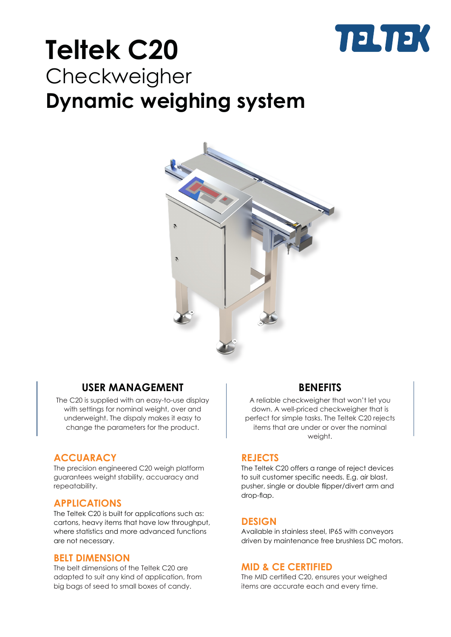

## **Teltek C20** Checkweigher **Dynamic weighing system**



## **USER MANAGEMENT**

The C20 is supplied with an easy-to-use display with settings for nominal weight, over and underweight. The dispaly makes it easy to change the parameters for the product.

## **ACCUARACY**

The precision engineered C20 weigh platform guarantees weight stability, accuaracy and repeatability.

## **APPLICATIONS**

The Teltek C20 is built for applications such as: cartons, heavy items that have low throughput, where statistics and more advanced functions are not necessary.

## **BELT DIMENSION**

The belt dimensions of the Teltek C20 are adapted to suit any kind of application, from big bags of seed to small boxes of candy.

## **BENEFITS**

A reliable checkweigher that won't let you down. A well-priced checkweigher that is perfect for simple tasks. The Teltek C20 rejects items that are under or over the nominal weight.

## **REJECTS**

The Teltek C20 offers a range of reject devices to suit customer specific needs. E.g. air blast, pusher, single or double flipper/divert arm and drop-flap.

## **DESIGN**

Available in stainless steel, IP65 with conveyors driven by maintenance free brushless DC motors.

## **MID & CE CERTIFIED**

The MID certified C20, ensures your weighed items are accurate each and every time.